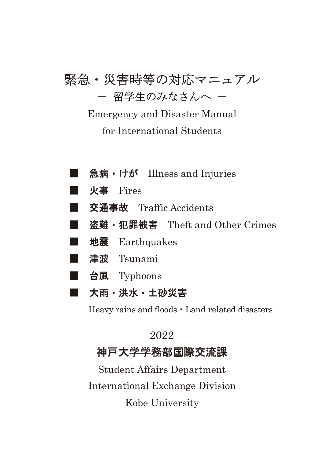# 緊急・災害時等の対応マニュアル - 留学生のみなさんへ -

## Emergency and Disaster Manual for International Students

- 急病・けが Illness and Injuries
- $\n **W**$  Fires
- 交通事故 Traffic Accidents
- 盗難•犯罪被害 Theft and Other Crimes
- 地震 Earthquakes
- 津波 Tsunami
- 台風 Typhoons
- 大雨・洪水・土砂災害

Heavy rains and floods  $\cdot$  Land-related disasters

### 2022

### 神戸大学学務部国際交流課

International Exchange Division Kobe University Student Affairs Department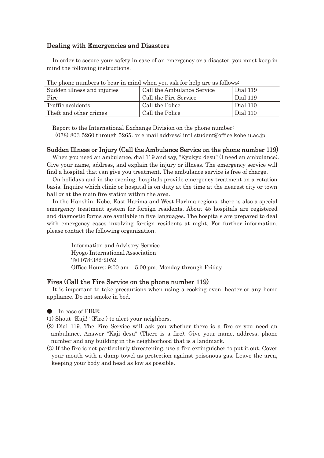#### Dealing with Emergencies and Disasters

In order to secure your safety in case of an emergency or a disaster, you must keep in mind the following instructions.

| The phone hambers to bear in mind when you ask for help are as follows: |                            |          |
|-------------------------------------------------------------------------|----------------------------|----------|
| Sudden illness and injuries                                             | Call the Ambulance Service | Dial 119 |
| Fire                                                                    | Call the Fire Service      | Dial 119 |
| Traffic accidents                                                       | Call the Police            | Dial 110 |
| Theft and other crimes                                                  | Call the Police            | Dial 110 |

The phone numbers to bear in mind when you ask for help are as follows:

Report to the International Exchange Division on the phone number:

(078) 803-5260 through 5265; or e-mail address: intl-student@office.kobe-u.ac.jp

#### Sudden Illness or Injury (Call the Ambulance Service on the phone number 119)

When you need an ambulance, dial 119 and say, "Kyukyu desu" (I need an ambulance). Give your name, address, and explain the injury or illness. The emergency service will find a hospital that can give you treatment. The ambulance service is free of charge.

On holidays and in the evening, hospitals provide emergency treatment on a rotation basis. Inquire which clinic or hospital is on duty at the time at the nearest city or town hall or at the main fire station within the area.

In the Hanshin, Kobe, East Harima and West Harima regions, there is also a special emergency treatment system for foreign residents. About 45 hospitals are registered and diagnostic forms are available in five languages. The hospitals are prepared to deal with emergency cases involving foreign residents at night. For further information, please contact the following organization.

> Information and Advisory Service Hyogo International Association Tel 078-382-2052 Office Hours: 9:00 am – 5:00 pm, Monday through Friday

#### Fires (Call the Fire Service on the phone number 119)

It is important to take precautions when using a cooking oven, heater or any home appliance. Do not smoke in bed.

In case of FIRE:

(1) Shout "Kaji!" (Fire!) to alert your neighbors.

- (2) Dial 119. The Fire Service will ask you whether there is a fire or you need an ambulance. Answer "Kaji desu" (There is a fire). Give your name, address, phone number and any building in the neighborhood that is a landmark.
- (3) If the fire is not particularly threatening, use a fire extinguisher to put it out. Cover your mouth with a damp towel as protection against poisonous gas. Leave the area, keeping your body and head as low as possible.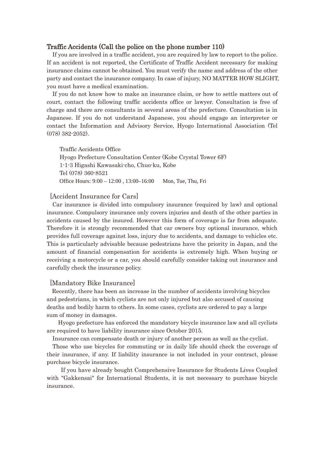#### Traffic Accidents (Call the police on the phone number 110)

If you are involved in a traffic accident, you are required by law to report to the police. If an accident is not reported, the Certificate of Traffic Accident necessary for making insurance claims cannot be obtained. You must verify the name and address of the other party and contact the insurance company. In case of injury, NO MATTER HOW SLIGHT, you must have a medical examination.

If you do not know how to make an insurance claim, or how to settle matters out of court, contact the following traffic accidents office or lawyer. Consultation is free of charge and there are consultants in several areas of the prefecture. Consultation is in Japanese. If you do not understand Japanese, you should engage an interpreter or contact the Information and Advisory Service, Hyogo International Association (Tel (078) 382-2052).

Traffic Accidents Office Hyogo Prefecture Consultation Center (Kobe Crystal Tower 6F) 1-1-3 Higashi Kawasaki-cho, Chuo-ku, Kobe Tel (078) 360-8521 Office Hours: 9:00 – 12:00 , 13:00–16:00 Mon, Tue, Thu, Fri

#### [Accident Insurance for Cars]

Car insurance is divided into compulsory insurance (required by law) and optional insurance. Compulsory insurance only covers injuries and death of the other parties in accidents caused by the insured. However this form of coverage is far from adequate. Therefore it is strongly recommended that car owners buy optional insurance, which provides full coverage against loss, injury due to accidents, and damage to vehicles etc. This is particularly advisable because pedestrians have the priority in Japan, and the amount of financial compensation for accidents is extremely high. When buying or receiving a motorcycle or a car, you should carefully consider taking out insurance and carefully check the insurance policy.

#### [Mandatory Bike Insurance]

Recently, there has been an increase in the number of accidents involving bicycles and pedestrians, in which cyclists are not only injured but also accused of causing deaths and bodily harm to others. In some cases, cyclists are ordered to pay a large sum of money in damages.

 Hyogo prefecture has enforced the mandatory bicycle insurance law and all cyclists are required to have liability insurance since October 2015.

Insurance can compensate death or injury of another person as well as the cyclist.

Those who use bicycles for commuting or in daily life should check the coverage of their insurance, if any. If liability insurance is not included in your contract, please purchase bicycle insurance.

 If you have already bought Comprehensive Insurance for Students Lives Coupled with "Gakkensai" for International Students, it is not necessary to purchase bicycle insurance.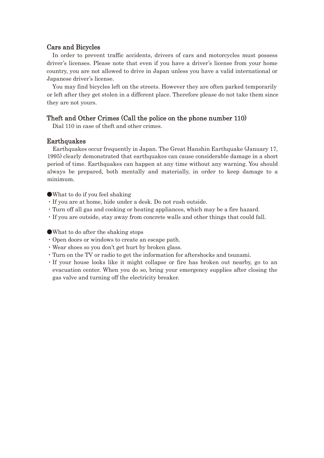#### Cars and Bicycles

In order to prevent traffic accidents, drivers of cars and motorcycles must possess driver's licenses. Please note that even if you have a driver's license from your home country, you are not allowed to drive in Japan unless you have a valid international or Japanese driver's license.

You may find bicycles left on the streets. However they are often parked temporarily or left after they get stolen in a different place. Therefore please do not take them since they are not yours.

#### Theft and Other Crimes (Call the police on the phone number 110)

Dial 110 in case of theft and other crimes.

#### **Earthquakes**

Earthquakes occur frequently in Japan. The Great Hanshin Earthquake (January 17, 1995) clearly demonstrated that earthquakes can cause considerable damage in a short period of time. Earthquakes can happen at any time without any warning. You should always be prepared, both mentally and materially, in order to keep damage to a minimum.

ەWhat to do if you feel shaking

- ࣭If you are at home, hide under a desk. Do not rush outside.
- ࣭Turn off all gas and cooking or heating appliances, which may be a fire hazard.
- ࣭If you are outside, stay away from concrete walls and other things that could fall.

ەWhat to do after the shaking stops

- ࣭Open doors or windows to create an escape path.
- ࣭Wear shoes so you don't get hurt by broken glass.
- ࣭Turn on the TV or radio to get the information for aftershocks and tsunami.
- If your house looks like it might collapse or fire has broken out nearby, go to an evacuation center. When you do so, bring your emergency supplies after closing the gas valve and turning off the electricity breaker.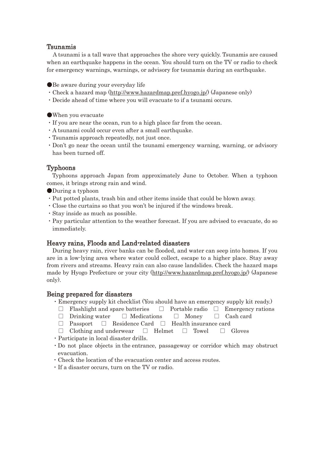#### Tsunamis

 A tsunami is a tall wave that approaches the shore very quickly. Tsunamis are caused when an earthquake happens in the ocean. You should turn on the TV or radio to check for emergency warnings, warnings, or advisory for tsunamis during an earthquake.

ەBe aware during your everyday life

- Check a hazard map (http://www.hazardmap.pref.hyogo.jp/) (Japanese only)
- ࣭Decide ahead of time where you will evacuate to if a tsunami occurs.
- ەWhen you evacuate
- If you are near the ocean, run to a high place far from the ocean.
- A tsunami could occur even after a small earthquake.
- ࣭Tsunamis approach repeatedly, not just once.
- ࣭Don't go near the ocean until the tsunami emergency warning, warning, or advisory has been turned off.

#### Typhoons

 Typhoons approach Japan from approximately June to October. When a typhoon comes, it brings strong rain and wind.

- ەDuring a typhoon
- ࣭Put potted plants, trash bin and other items inside that could be blown away.
- ࣭Close the curtains so that you won't be injured if the windows break.
- Stay inside as much as possible.
- Pay particular attention to the weather forecast. If you are advised to evacuate, do so immediately.

#### Heavy rains, Floods and Land-related disasters

During heavy rain, river banks can be flooded, and water can seep into homes. If you are in a low-lying area where water could collect, escape to a higher place. Stay away from rivers and streams. Heavy rain can also cause landslides. Check the hazard maps made by Hyogo Prefecture or your city (http://www.hazardmap.pref.hyogo.jp/) (Japanese only).

#### Being prepared for disasters

- Emergency supply kit checklist (You should have an emergency supply kit ready.)
	- $\Box$  Flashlight and spare batteries  $\Box$  Portable radio  $\Box$  Emergency rations
	- $\Box$  Drinking water  $\Box$  Medications  $\Box$  Money  $\Box$  Cash card
	- $\Box$  Passport  $\Box$  Residence Card  $\Box$  Health insurance card
	- $\Box$  Clothing and underwear  $\Box$  Helmet  $\Box$  Towel  $\Box$  Gloves
- Participate in local disaster drills.
- ࣭ Do not place objects in the entrance, passageway or corridor which may obstruct evacuation.
- ࣭Check the location of the evacuation center and access routes.
- $\cdot$  If a disaster occurs, turn on the TV or radio.